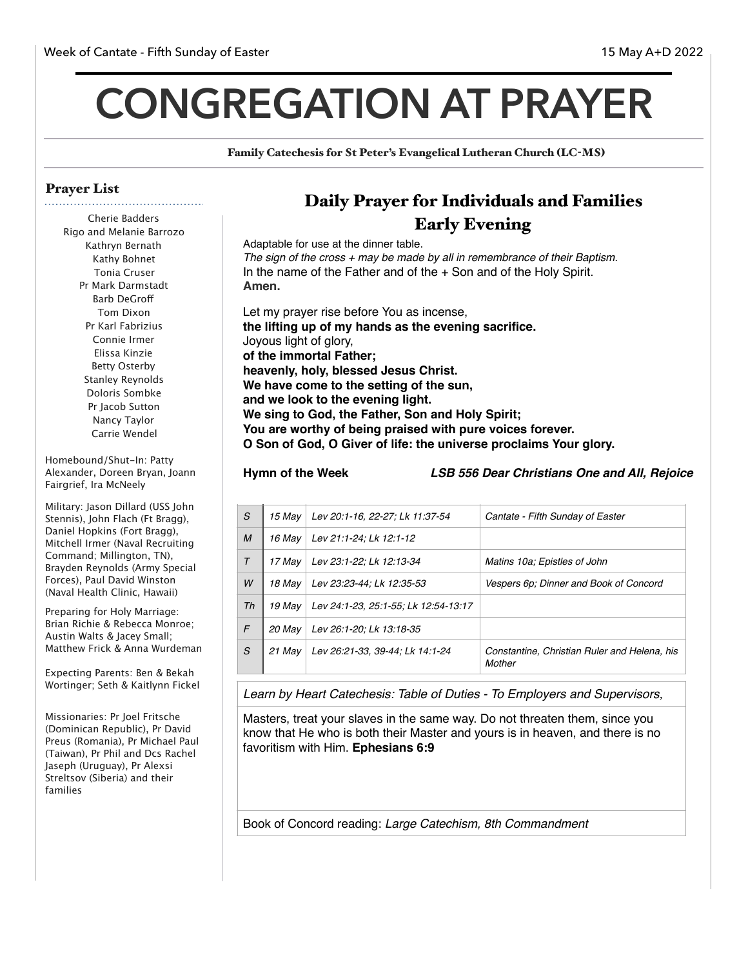# **CONGREGATION AT PRAYER**

Family Catechesis for St Peter's Evangelical Lutheran Church (LC-MS)

## Prayer List

Cherie Badders Rigo and Melanie Barrozo Kathryn Bernath Kathy Bohnet Tonia Cruser Pr Mark Darmstadt Barb DeGrof Tom Dixon Pr Karl Fabrizius Connie Irmer Elissa Kinzie Betty Osterby Stanley Reynolds Doloris Sombke Pr Jacob Sutton Nancy Taylor Carrie Wendel

Homebound/Shut-In: Patty Alexander, Doreen Bryan, Joann Fairgrief, Ira McNeely

Military: Jason Dillard (USS John Stennis), John Flach (Ft Bragg), Daniel Hopkins (Fort Bragg), Mitchell Irmer (Naval Recruiting Command; Millington, TN), Brayden Reynolds (Army Special Forces), Paul David Winston (Naval Health Clinic, Hawaii)

Preparing for Holy Marriage: Brian Richie & Rebecca Monroe; Austin Walts & Jacey Small; Matthew Frick & Anna Wurdeman

Expecting Parents: Ben & Bekah Wortinger; Seth & Kaitlynn Fickel

Missionaries: Pr Joel Fritsche (Dominican Republic), Pr David Preus (Romania), Pr Michael Paul (Taiwan), Pr Phil and Dcs Rachel Jaseph (Uruguay), Pr Alexsi Streltsov (Siberia) and their families

# Daily Prayer for Individuals and Families Early Evening

Adaptable for use at the dinner table. *The sign of the cross + may be made by all in remembrance of their Baptism.* In the name of the Father and of the + Son and of the Holy Spirit. **Amen.**

Let my prayer rise before You as incense, **the lifting up of my hands as the evening sacrifice.** Joyous light of glory, **of the immortal Father; heavenly, holy, blessed Jesus Christ. We have come to the setting of the sun, and we look to the evening light. We sing to God, the Father, Son and Holy Spirit; You are worthy of being praised with pure voices forever. O Son of God, O Giver of life: the universe proclaims Your glory.**

**Hymn of the Week** *LSB 556 Dear Christians One and All, Rejoice* 

| S      | 15 Mav | Lev 20:1-16, 22-27; Lk 11:37-54      | Cantate - Fifth Sunday of Easter                       |
|--------|--------|--------------------------------------|--------------------------------------------------------|
| M      | 16 Mav | Lev 21:1-24; Lk 12:1-12              |                                                        |
| $\tau$ | 17 May | Lev 23:1-22; Lk 12:13-34             | Matins 10a; Epistles of John                           |
| W      | 18 Mav | Lev 23:23-44; Lk 12:35-53            | Vespers 6p; Dinner and Book of Concord                 |
| Th     | 19 Mav | Lev 24:1-23, 25:1-55; Lk 12:54-13:17 |                                                        |
| F      | 20 May | Lev 26:1-20; Lk 13:18-35             |                                                        |
| S      | 21 May | Lev 26:21-33, 39-44; Lk 14:1-24      | Constantine, Christian Ruler and Helena, his<br>Mother |

*Learn by Heart Catechesis: Table of Duties - To Employers and Supervisors,* 

Masters, treat your slaves in the same way. Do not threaten them, since you know that He who is both their Master and yours is in heaven, and there is no favoritism with Him. **Ephesians 6:9**

Book of Concord reading: *Large Catechism, 8th Commandment*